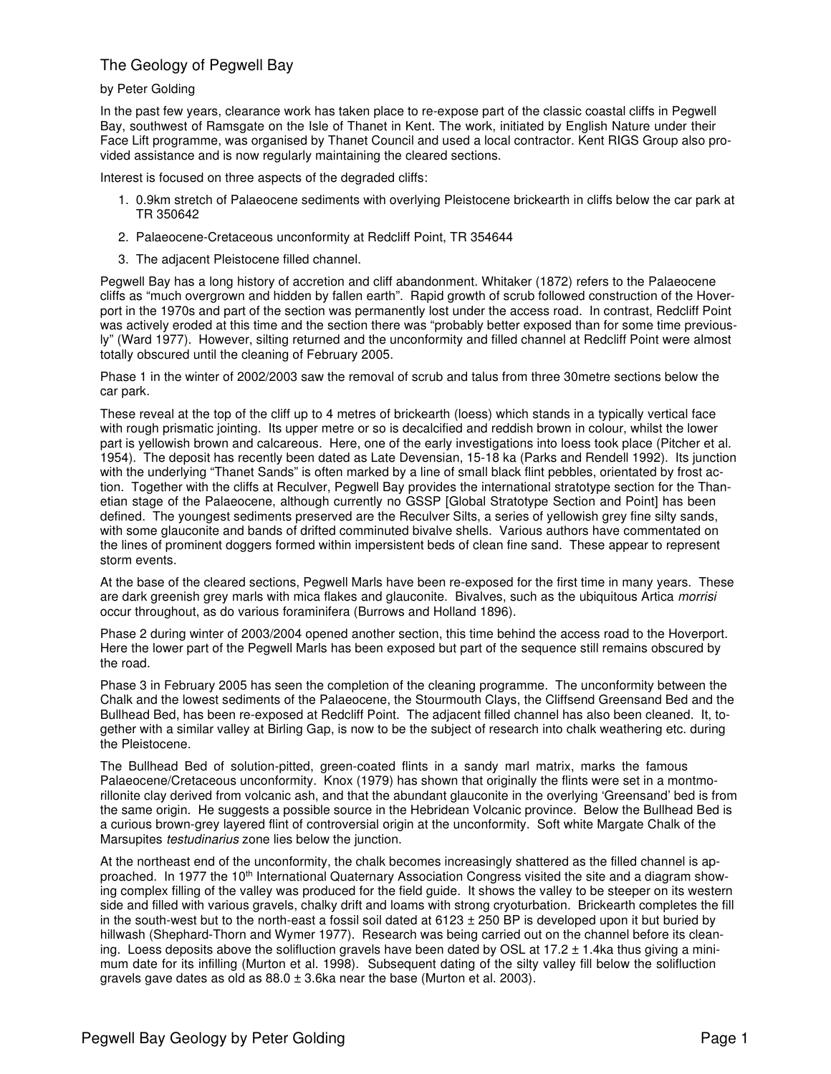## The Geology of Pegwell Bay

## by Peter Golding

In the past few years, clearance work has taken place to re-expose part of the classic coastal cliffs in Pegwell Bay, southwest of Ramsgate on the Isle of Thanet in Kent. The work, initiated by English Nature under their Face Lift programme, was organised by Thanet Council and used a local contractor. Kent RIGS Group also provided assistance and is now regularly maintaining the cleared sections.

Interest is focused on three aspects of the degraded cliffs:

- 1. 0.9km stretch of Palaeocene sediments with overlying Pleistocene brickearth in cliffs below the car park at TR 350642
- 2. Palaeocene-Cretaceous unconformity at Redcliff Point, TR 354644
- 3. The adjacent Pleistocene filled channel.

Pegwell Bay has a long history of accretion and cliff abandonment. Whitaker (1872) refers to the Palaeocene cliffs as "much overgrown and hidden by fallen earth". Rapid growth of scrub followed construction of the Hoverport in the 1970s and part of the section was permanently lost under the access road. In contrast, Redcliff Point was actively eroded at this time and the section there was "probably better exposed than for some time previously" (Ward 1977). However, silting returned and the unconformity and filled channel at Redcliff Point were almost totally obscured until the cleaning of February 2005.

Phase 1 in the winter of 2002/2003 saw the removal of scrub and talus from three 30metre sections below the car park.

These reveal at the top of the cliff up to 4 metres of brickearth (loess) which stands in a typically vertical face with rough prismatic jointing. Its upper metre or so is decalcified and reddish brown in colour, whilst the lower part is yellowish brown and calcareous. Here, one of the early investigations into loess took place (Pitcher et al. 1954). The deposit has recently been dated as Late Devensian, 15-18 ka (Parks and Rendell 1992). Its junction with the underlying "Thanet Sands" is often marked by a line of small black flint pebbles, orientated by frost action. Together with the cliffs at Reculver, Pegwell Bay provides the international stratotype section for the Thanetian stage of the Palaeocene, although currently no GSSP [Global Stratotype Section and Point] has been defined. The youngest sediments preserved are the Reculver Silts, a series of yellowish grey fine silty sands, with some glauconite and bands of drifted comminuted bivalve shells. Various authors have commentated on the lines of prominent doggers formed within impersistent beds of clean fine sand. These appear to represent storm events.

At the base of the cleared sections, Pegwell Marls have been re-exposed for the first time in many years. These are dark greenish grey marls with mica flakes and glauconite. Bivalves, such as the ubiquitous Artica morrisi occur throughout, as do various foraminifera (Burrows and Holland 1896).

Phase 2 during winter of 2003/2004 opened another section, this time behind the access road to the Hoverport. Here the lower part of the Pegwell Marls has been exposed but part of the sequence still remains obscured by the road.

Phase 3 in February 2005 has seen the completion of the cleaning programme. The unconformity between the Chalk and the lowest sediments of the Palaeocene, the Stourmouth Clays, the Cliffsend Greensand Bed and the Bullhead Bed, has been re-exposed at Redcliff Point. The adjacent filled channel has also been cleaned. It, together with a similar valley at Birling Gap, is now to be the subject of research into chalk weathering etc. during the Pleistocene.

The Bullhead Bed of solution-pitted, green-coated flints in a sandy marl matrix, marks the famous Palaeocene/Cretaceous unconformity. Knox (1979) has shown that originally the flints were set in a montmorillonite clay derived from volcanic ash, and that the abundant glauconite in the overlying 'Greensand' bed is from the same origin. He suggests a possible source in the Hebridean Volcanic province. Below the Bullhead Bed is a curious brown-grey layered flint of controversial origin at the unconformity. Soft white Margate Chalk of the Marsupites *testudinarius* zone lies below the junction.

At the northeast end of the unconformity, the chalk becomes increasingly shattered as the filled channel is approached. In 1977 the 10<sup>th</sup> International Quaternary Association Congress visited the site and a diagram showing complex filling of the valley was produced for the field guide. It shows the valley to be steeper on its western side and filled with various gravels, chalky drift and loams with strong cryoturbation. Brickearth completes the fill in the south-west but to the north-east a fossil soil dated at  $6123 \pm 250$  BP is developed upon it but buried by hillwash (Shephard-Thorn and Wymer 1977). Research was being carried out on the channel before its cleaning. Loess deposits above the solifluction gravels have been dated by OSL at  $17.2 \pm 1.4$ ka thus giving a minimum date for its infilling (Murton et al. 1998). Subsequent dating of the silty valley fill below the solifluction gravels gave dates as old as  $88.0 \pm 3.6$ ka near the base (Murton et al. 2003).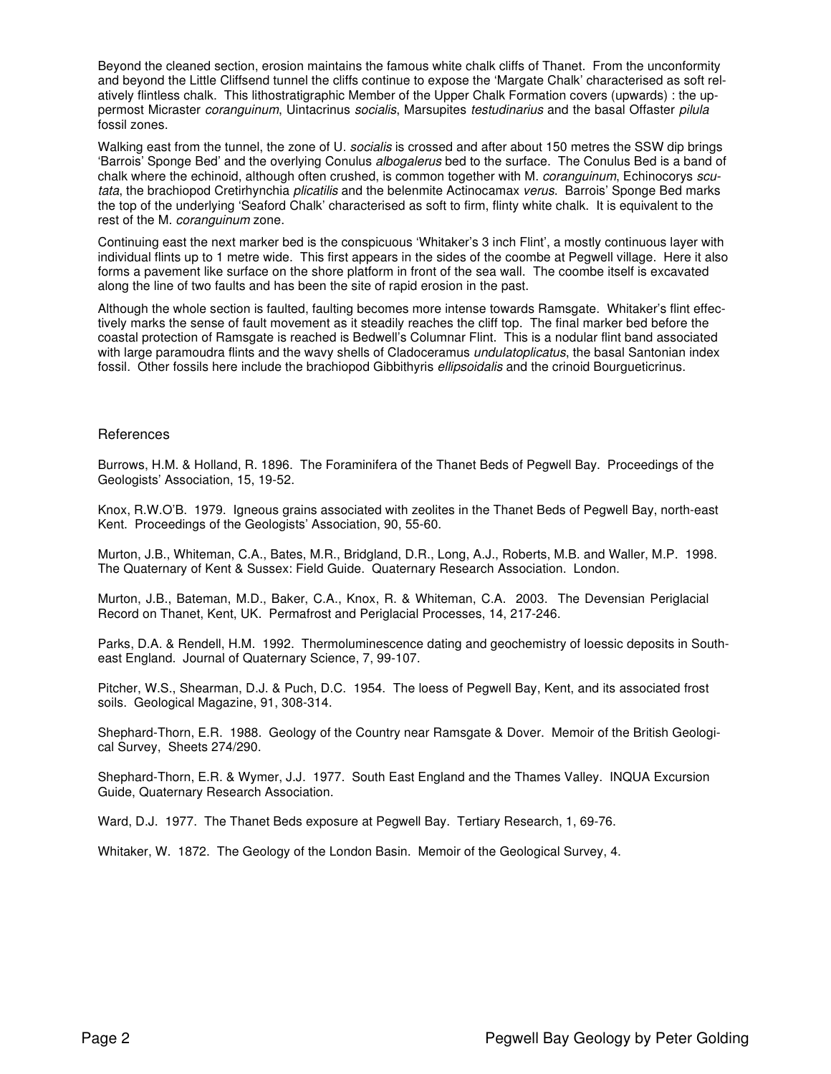Beyond the cleaned section, erosion maintains the famous white chalk cliffs of Thanet. From the unconformity and beyond the Little Cliffsend tunnel the cliffs continue to expose the 'Margate Chalk' characterised as soft relatively flintless chalk. This lithostratigraphic Member of the Upper Chalk Formation covers (upwards) : the uppermost Micraster coranguinum, Uintacrinus socialis, Marsupites testudinarius and the basal Offaster pilula fossil zones.

Walking east from the tunnel, the zone of U. *socialis* is crossed and after about 150 metres the SSW dip brings 'Barrois' Sponge Bed' and the overlying Conulus albogalerus bed to the surface. The Conulus Bed is a band of chalk where the echinoid, although often crushed, is common together with M. coranguinum, Echinocorys scutata, the brachiopod Cretirhynchia plicatilis and the belenmite Actinocamax verus. Barrois' Sponge Bed marks the top of the underlying 'Seaford Chalk' characterised as soft to firm, flinty white chalk. It is equivalent to the rest of the M. coranguinum zone.

Continuing east the next marker bed is the conspicuous 'Whitaker's 3 inch Flint', a mostly continuous layer with individual flints up to 1 metre wide. This first appears in the sides of the coombe at Pegwell village. Here it also forms a pavement like surface on the shore platform in front of the sea wall. The coombe itself is excavated along the line of two faults and has been the site of rapid erosion in the past.

Although the whole section is faulted, faulting becomes more intense towards Ramsgate. Whitaker's flint effectively marks the sense of fault movement as it steadily reaches the cliff top. The final marker bed before the coastal protection of Ramsgate is reached is Bedwell's Columnar Flint. This is a nodular flint band associated with large paramoudra flints and the wavy shells of Cladoceramus *undulatoplicatus*, the basal Santonian index fossil. Other fossils here include the brachiopod Gibbithyris *ellipsoidalis* and the crinoid Bourgueticrinus.

## **References**

Burrows, H.M. & Holland, R. 1896. The Foraminifera of the Thanet Beds of Pegwell Bay. Proceedings of the Geologists' Association, 15, 19-52.

Knox, R.W.O'B. 1979. Igneous grains associated with zeolites in the Thanet Beds of Pegwell Bay, north-east Kent. Proceedings of the Geologists' Association, 90, 55-60.

Murton, J.B., Whiteman, C.A., Bates, M.R., Bridgland, D.R., Long, A.J., Roberts, M.B. and Waller, M.P. 1998. The Quaternary of Kent & Sussex: Field Guide. Quaternary Research Association. London.

Murton, J.B., Bateman, M.D., Baker, C.A., Knox, R. & Whiteman, C.A. 2003. The Devensian Periglacial Record on Thanet, Kent, UK. Permafrost and Periglacial Processes, 14, 217-246.

Parks, D.A. & Rendell, H.M. 1992. Thermoluminescence dating and geochemistry of loessic deposits in Southeast England. Journal of Quaternary Science, 7, 99-107.

Pitcher, W.S., Shearman, D.J. & Puch, D.C. 1954. The loess of Pegwell Bay, Kent, and its associated frost soils. Geological Magazine, 91, 308-314.

Shephard-Thorn, E.R. 1988. Geology of the Country near Ramsgate & Dover. Memoir of the British Geological Survey, Sheets 274/290.

Shephard-Thorn, E.R. & Wymer, J.J. 1977. South East England and the Thames Valley. INQUA Excursion Guide, Quaternary Research Association.

Ward, D.J. 1977. The Thanet Beds exposure at Pegwell Bay. Tertiary Research, 1, 69-76.

Whitaker, W. 1872. The Geology of the London Basin. Memoir of the Geological Survey, 4.